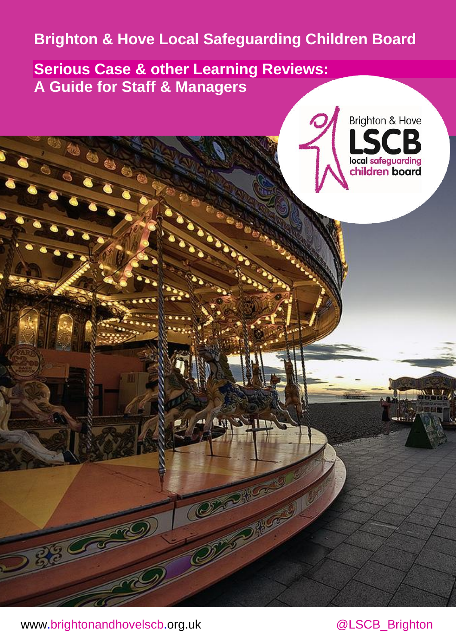# **Brighton & Hove Local Safeguarding Children Board**

**Serious Case & other Learning Reviews: A Guide for Staff & Managers**



[www.brightonandhovelscb.org.uk](http://www.brightonandhovelscb.org.uk/)

@LSCB\_Brighton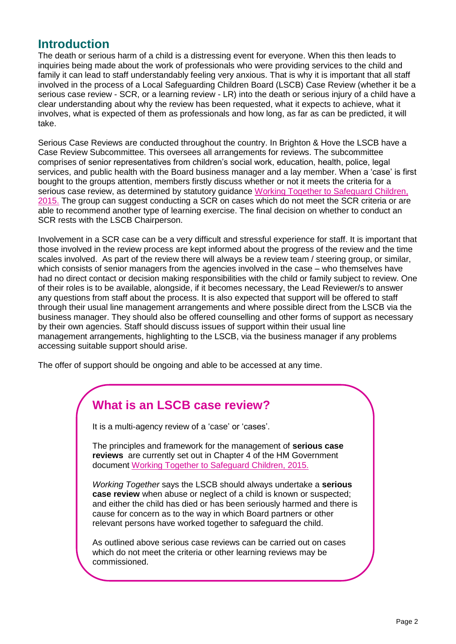#### **Introduction**

The death or serious harm of a child is a distressing event for everyone. When this then leads to inquiries being made about the work of professionals who were providing services to the child and family it can lead to staff understandably feeling very anxious. That is why it is important that all staff involved in the process of a Local Safeguarding Children Board (LSCB) Case Review (whether it be a serious case review - SCR, or a learning review - LR) into the death or serious injury of a child have a clear understanding about why the review has been requested, what it expects to achieve, what it involves, what is expected of them as professionals and how long, as far as can be predicted, it will take.

Serious Case Reviews are conducted throughout the country. In Brighton & Hove the LSCB have a Case Review Subcommittee. This oversees all arrangements for reviews. The subcommittee comprises of senior representatives from children's social work, education, health, police, legal services, and public health with the Board business manager and a lay member. When a 'case' is first bought to the groups attention, members firstly discuss whether or not it meets the criteria for a serious case review, as determined by statutory guidance [Working Together to Safeguard Children,](http://www.workingtogetheronline.co.uk/chapters/chapter_four.html#scr)  [2015.](http://www.workingtogetheronline.co.uk/chapters/chapter_four.html#scr) The group can suggest conducting a SCR on cases which do not meet the SCR criteria or are able to recommend another type of learning exercise. The final decision on whether to conduct an SCR rests with the LSCB Chairperson.

Involvement in a SCR case can be a very difficult and stressful experience for staff. It is important that those involved in the review process are kept informed about the progress of the review and the time scales involved. As part of the review there will always be a review team / steering group, or similar, which consists of senior managers from the agencies involved in the case – who themselves have had no direct contact or decision making responsibilities with the child or family subject to review. One of their roles is to be available, alongside, if it becomes necessary, the Lead Reviewer/s to answer any questions from staff about the process. It is also expected that support will be offered to staff through their usual line management arrangements and where possible direct from the LSCB via the business manager. They should also be offered counselling and other forms of support as necessary by their own agencies. Staff should discuss issues of support within their usual line management arrangements, highlighting to the LSCB, via the business manager if any problems accessing suitable support should arise.

The offer of support should be ongoing and able to be accessed at any time.

### **What is an LSCB case review?**

It is a multi-agency review of a 'case' or 'cases'.

The principles and framework for the management of **serious case reviews** are currently set out in Chapter 4 of the HM Government document [Working Together to Safeguard Children, 2015.](http://www.workingtogetheronline.co.uk/chapters/chapter_four.html#scr)

*Working Together* says the LSCB should always undertake a **serious case review** when abuse or neglect of a child is known or suspected; and either the child has died or has been seriously harmed and there is cause for concern as to the way in which Board partners or other relevant persons have worked together to safeguard the child.

As outlined above serious case reviews can be carried out on cases which do not meet the criteria or other learning reviews may be commissioned.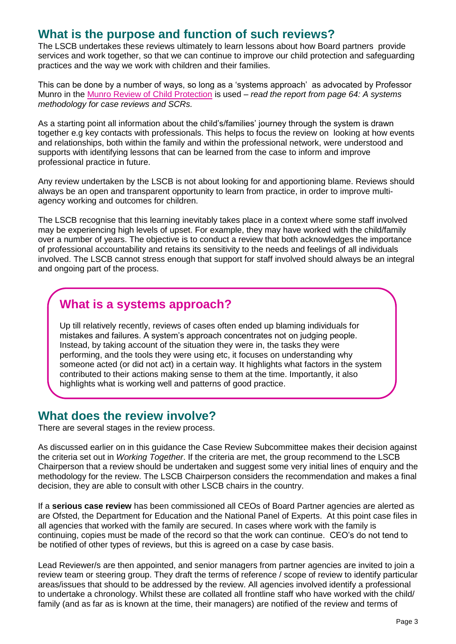### **What is the purpose and function of such reviews?**

The LSCB undertakes these reviews ultimately to learn lessons about how Board partners provide services and work together, so that we can continue to improve our child protection and safeguarding practices and the way we work with children and their families.

This can be done by a number of ways, so long as a 'systems approach' as advocated by Professor Munro in the [Munro Review of Child Protection](https://www.gov.uk/government/uploads/system/uploads/attachment_data/file/175391/Munro-Review.pdf) is used – *read the report from page 64: A systems methodology for case reviews and SCRs.* 

As a starting point all information about the child's/families' journey through the system is drawn together e.g key contacts with professionals. This helps to focus the review on looking at how events and relationships, both within the family and within the professional network, were understood and supports with identifying lessons that can be learned from the case to inform and improve professional practice in future.

Any review undertaken by the LSCB is not about looking for and apportioning blame. Reviews should always be an open and transparent opportunity to learn from practice, in order to improve multiagency working and outcomes for children.

The LSCB recognise that this learning inevitably takes place in a context where some staff involved may be experiencing high levels of upset. For example, they may have worked with the child/family over a number of years. The objective is to conduct a review that both acknowledges the importance of professional accountability and retains its sensitivity to the needs and feelings of all individuals involved. The LSCB cannot stress enough that support for staff involved should always be an integral and ongoing part of the process.

# **What is a systems approach?**

Up till relatively recently, reviews of cases often ended up blaming individuals for mistakes and failures. A system's approach concentrates not on judging people. Instead, by taking account of the situation they were in, the tasks they were performing, and the tools they were using etc, it focuses on understanding why someone acted (or did not act) in a certain way. It highlights what factors in the system contributed to their actions making sense to them at the time. Importantly, it also highlights what is working well and patterns of good practice.

#### **What does the review involve?**

There are several stages in the review process.

As discussed earlier on in this guidance the Case Review Subcommittee makes their decision against the criteria set out in *Working Together*. If the criteria are met, the group recommend to the LSCB Chairperson that a review should be undertaken and suggest some very initial lines of enquiry and the methodology for the review. The LSCB Chairperson considers the recommendation and makes a final decision, they are able to consult with other LSCB chairs in the country.

If a **serious case review** has been commissioned all CEOs of Board Partner agencies are alerted as are Ofsted, the Department for Education and the National Panel of Experts. At this point case files in all agencies that worked with the family are secured. In cases where work with the family is continuing, copies must be made of the record so that the work can continue. CEO's do not tend to be notified of other types of reviews, but this is agreed on a case by case basis.

Lead Reviewer/s are then appointed, and senior managers from partner agencies are invited to join a review team or steering group. They draft the terms of reference / scope of review to identify particular areas/issues that should to be addressed by the review. All agencies involved identify a professional to undertake a chronology. Whilst these are collated all frontline staff who have worked with the child/ family (and as far as is known at the time, their managers) are notified of the review and terms of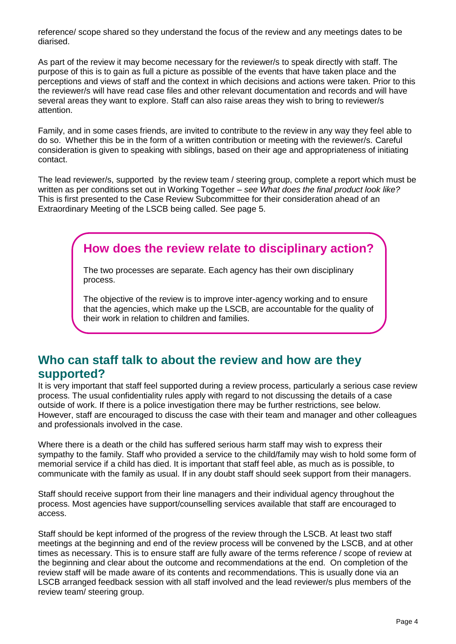reference/ scope shared so they understand the focus of the review and any meetings dates to be diarised.

As part of the review it may become necessary for the reviewer/s to speak directly with staff. The purpose of this is to gain as full a picture as possible of the events that have taken place and the perceptions and views of staff and the context in which decisions and actions were taken. Prior to this the reviewer/s will have read case files and other relevant documentation and records and will have several areas they want to explore. Staff can also raise areas they wish to bring to reviewer/s attention.

Family, and in some cases friends, are invited to contribute to the review in any way they feel able to do so. Whether this be in the form of a written contribution or meeting with the reviewer/s. Careful consideration is given to speaking with siblings, based on their age and appropriateness of initiating contact.

The lead reviewer/s, supported by the review team / steering group, complete a report which must be written as per conditions set out in Working Together – *see What does the final product look like?* This is first presented to the Case Review Subcommittee for their consideration ahead of an Extraordinary Meeting of the LSCB being called. See page 5.

# **How does the review relate to disciplinary action?**

The two processes are separate. Each agency has their own disciplinary process.

The objective of the review is to improve inter-agency working and to ensure that the agencies, which make up the LSCB, are accountable for the quality of their work in relation to children and families.

#### **Who can staff talk to about the review and how are they supported?**

It is very important that staff feel supported during a review process, particularly a serious case review process. The usual confidentiality rules apply with regard to not discussing the details of a case outside of work. If there is a police investigation there may be further restrictions, see below. However, staff are encouraged to discuss the case with their team and manager and other colleagues and professionals involved in the case.

Where there is a death or the child has suffered serious harm staff may wish to express their sympathy to the family. Staff who provided a service to the child/family may wish to hold some form of memorial service if a child has died. It is important that staff feel able, as much as is possible, to communicate with the family as usual. If in any doubt staff should seek support from their managers.

Staff should receive support from their line managers and their individual agency throughout the process. Most agencies have support/counselling services available that staff are encouraged to access.

Staff should be kept informed of the progress of the review through the LSCB. At least two staff meetings at the beginning and end of the review process will be convened by the LSCB, and at other times as necessary. This is to ensure staff are fully aware of the terms reference / scope of review at the beginning and clear about the outcome and recommendations at the end. On completion of the review staff will be made aware of its contents and recommendations. This is usually done via an LSCB arranged feedback session with all staff involved and the lead reviewer/s plus members of the review team/ steering group.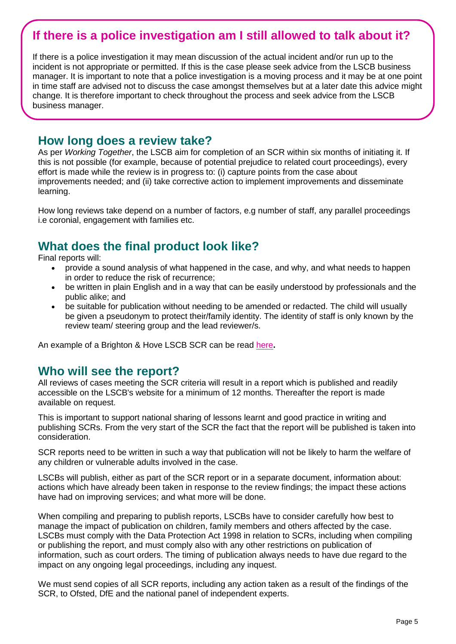# **If there is a police investigation am I still allowed to talk about it?**

If there is a police investigation it may mean discussion of the actual incident and/or run up to the incident is not appropriate or permitted. If this is the case please seek advice from the LSCB business manager. It is important to note that a police investigation is a moving process and it may be at one point in time staff are advised not to discuss the case amongst themselves but at a later date this advice might change. It is therefore important to check throughout the process and seek advice from the LSCB business manager.

#### **How long does a review take?**

As per *Working Together*, the LSCB aim for completion of an SCR within six months of initiating it. If this is not possible (for example, because of potential prejudice to related court proceedings), every effort is made while the review is in progress to: (i) capture points from the case about improvements needed; and (ii) take corrective action to implement improvements and disseminate learning.

How long reviews take depend on a number of factors, e.g number of staff, any parallel proceedings i.e coronial, engagement with families etc.

### **What does the final product look like?**

Final reports will:

- provide a sound analysis of what happened in the case, and why, and what needs to happen in order to reduce the risk of recurrence;
- be written in plain English and in a way that can be easily understood by professionals and the public alike; and
- be suitable for publication without needing to be amended or redacted. The child will usually be given a pseudonym to protect their/family identity. The identity of staff is only known by the review team/ steering group and the lead reviewer/s.

An example of a Brighton & Hove LSCB SCR can be read [here](http://www.brightonandhovelscb.org.uk/scr-liam/)**.** 

#### **Who will see the report?**

All reviews of cases meeting the SCR criteria will result in a report which is published and readily accessible on the LSCB's website for a minimum of 12 months. Thereafter the report is made available on request.

This is important to support national sharing of lessons learnt and good practice in writing and publishing SCRs. From the very start of the SCR the fact that the report will be published is taken into consideration.

SCR reports need to be written in such a way that publication will not be likely to harm the welfare of any children or vulnerable adults involved in the case.

LSCBs will publish, either as part of the SCR report or in a separate document, information about: actions which have already been taken in response to the review findings; the impact these actions have had on improving services; and what more will be done.

When compiling and preparing to publish reports, LSCBs have to consider carefully how best to manage the impact of publication on children, family members and others affected by the case. LSCBs must comply with the [Data Protection Act 1998](http://www.legislation.gov.uk/ukpga/1998/29/contents) in relation to SCRs, including when compiling or publishing the report, and must comply also with any other restrictions on publication of information, such as court orders. The timing of publication always needs to have due regard to the impact on any ongoing legal proceedings, including any inquest.

We must send copies of all SCR reports, including any action taken as a result of the findings of the SCR, to Ofsted, DfE and the national panel of independent experts.